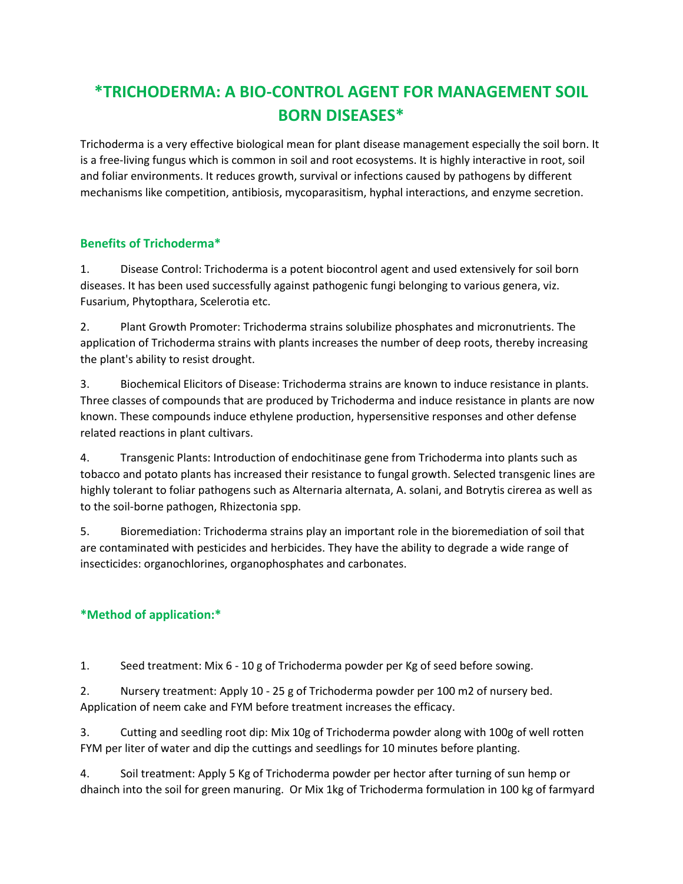# **\*TRICHODERMA: A BIO-CONTROL AGENT FOR MANAGEMENT SOIL BORN DISEASES\***

Trichoderma is a very effective biological mean for plant disease management especially the soil born. It is a free-living fungus which is common in soil and root ecosystems. It is highly interactive in root, soil and foliar environments. It reduces growth, survival or infections caused by pathogens by different mechanisms like competition, antibiosis, mycoparasitism, hyphal interactions, and enzyme secretion.

## **Benefits of Trichoderma\***

1. Disease Control: Trichoderma is a potent biocontrol agent and used extensively for soil born diseases. It has been used successfully against pathogenic fungi belonging to various genera, viz. Fusarium, Phytopthara, Scelerotia etc.

2. Plant Growth Promoter: Trichoderma strains solubilize phosphates and micronutrients. The application of Trichoderma strains with plants increases the number of deep roots, thereby increasing the plant's ability to resist drought.

3. Biochemical Elicitors of Disease: Trichoderma strains are known to induce resistance in plants. Three classes of compounds that are produced by Trichoderma and induce resistance in plants are now known. These compounds induce ethylene production, hypersensitive responses and other defense related reactions in plant cultivars.

4. Transgenic Plants: Introduction of endochitinase gene from Trichoderma into plants such as tobacco and potato plants has increased their resistance to fungal growth. Selected transgenic lines are highly tolerant to foliar pathogens such as Alternaria alternata, A. solani, and Botrytis cirerea as well as to the soil-borne pathogen, Rhizectonia spp.

5. Bioremediation: Trichoderma strains play an important role in the bioremediation of soil that are contaminated with pesticides and herbicides. They have the ability to degrade a wide range of insecticides: organochlorines, organophosphates and carbonates.

## **\*Method of application:\***

1. Seed treatment: Mix 6 - 10 g of Trichoderma powder per Kg of seed before sowing.

2. Nursery treatment: Apply 10 - 25 g of Trichoderma powder per 100 m2 of nursery bed. Application of neem cake and FYM before treatment increases the efficacy.

3. Cutting and seedling root dip: Mix 10g of Trichoderma powder along with 100g of well rotten FYM per liter of water and dip the cuttings and seedlings for 10 minutes before planting.

4. Soil treatment: Apply 5 Kg of Trichoderma powder per hector after turning of sun hemp or dhainch into the soil for green manuring. Or Mix 1kg of Trichoderma formulation in 100 kg of farmyard